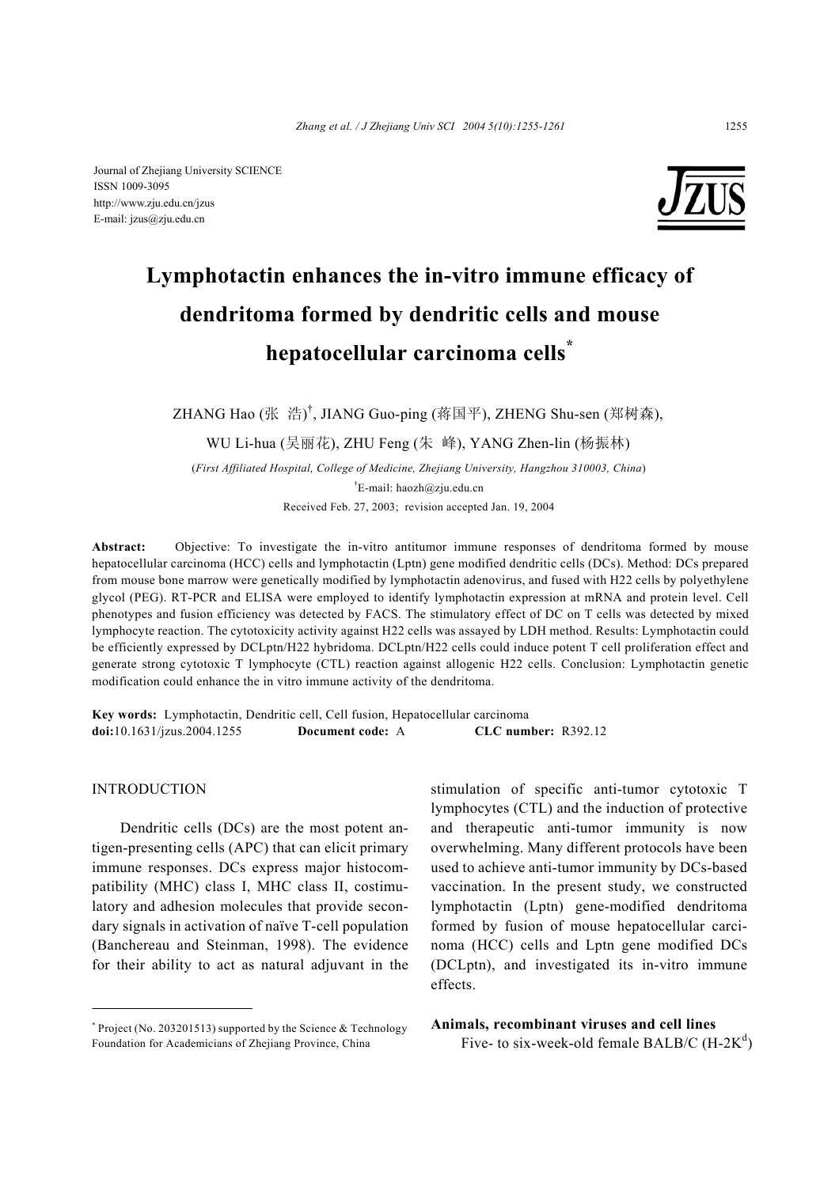Journal of Zhejiang University SCIENCE ISSN 1009-3095 http://www.zju.edu.cn/jzus E-mail: jzus@zju.edu.cn



# **Lymphotactin enhances the in-vitro immune efficacy of dendritoma formed by dendritic cells and mouse hepatocellular carcinoma cells\***

ZHANG Hao (张 浩)<sup>†</sup>, JIANG Guo-ping (蒋国平), ZHENG Shu-sen (郑树森),

WU Li-hua (吴丽花), ZHU Feng (朱 峰), YANG Zhen-lin (杨振林)

(*First Affiliated Hospital, College of Medicine, Zhejiang University, Hangzhou 310003, China*) † E-mail: haozh@zju.edu.cn Received Feb. 27, 2003; revision accepted Jan. 19, 2004

**Abstract:** Objective: To investigate the in-vitro antitumor immune responses of dendritoma formed by mouse hepatocellular carcinoma (HCC) cells and lymphotactin (Lptn) gene modified dendritic cells (DCs). Method: DCs prepared from mouse bone marrow were genetically modified by lymphotactin adenovirus, and fused with H22 cells by polyethylene glycol (PEG). RT-PCR and ELISA were employed to identify lymphotactin expression at mRNA and protein level. Cell phenotypes and fusion efficiency was detected by FACS. The stimulatory effect of DC on T cells was detected by mixed lymphocyte reaction. The cytotoxicity activity against H22 cells was assayed by LDH method. Results: Lymphotactin could be efficiently expressed by DCLptn/H22 hybridoma. DCLptn/H22 cells could induce potent T cell proliferation effect and generate strong cytotoxic T lymphocyte (CTL) reaction against allogenic H22 cells. Conclusion: Lymphotactin genetic modification could enhance the in vitro immune activity of the dendritoma.

**Key words:** Lymphotactin, Dendritic cell, Cell fusion, Hepatocellular carcinoma **doi:**10.1631/jzus.2004.1255 **Document code:** A **CLC number:** R392.12

## **INTRODUCTION**

Dendritic cells (DCs) are the most potent antigen-presenting cells (APC) that can elicit primary immune responses. DCs express major histocompatibility (MHC) class I, MHC class II, costimulatory and adhesion molecules that provide secondary signals in activation of naïve T-cell population (Banchereau and Steinman, 1998). The evidence for their ability to act as natural adjuvant in the stimulation of specific anti-tumor cytotoxic T lymphocytes (CTL) and the induction of protective and therapeutic anti-tumor immunity is now overwhelming. Many different protocols have been used to achieve anti-tumor immunity by DCs-based vaccination. In the present study, we constructed lymphotactin (Lptn) gene-modified dendritoma formed by fusion of mouse hepatocellular carcinoma (HCC) cells and Lptn gene modified DCs (DCLptn), and investigated its in-vitro immune effects.

# **Animals, recombinant viruses and cell lines**

Five- to six-week-old female BALB/C  $(H-2K^d)$ 

 $*$  Project (No. 203201513) supported by the Science & Technology Foundation for Academicians of Zhejiang Province, China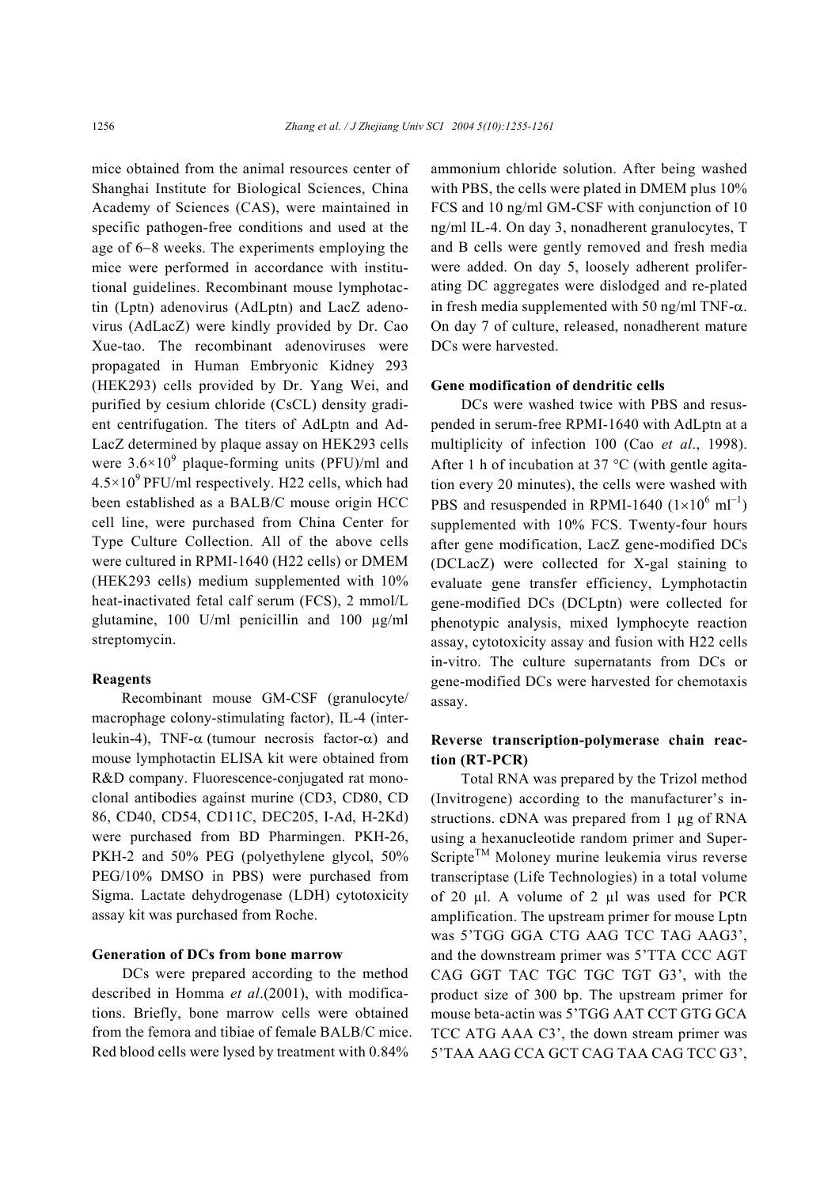mice obtained from the animal resources center of Shanghai Institute for Biological Sciences, China Academy of Sciences (CAS), were maintained in specific pathogen-free conditions and used at the age of 6−8 weeks. The experiments employing the mice were performed in accordance with institutional guidelines. Recombinant mouse lymphotactin (Lptn) adenovirus (AdLptn) and LacZ adenovirus (AdLacZ) were kindly provided by Dr. Cao Xue-tao. The recombinant adenoviruses were propagated in Human Embryonic Kidney 293 (HEK293) cells provided by Dr. Yang Wei, and purified by cesium chloride (CsCL) density gradient centrifugation. The titers of AdLptn and Ad-LacZ determined by plaque assay on HEK293 cells were  $3.6 \times 10^9$  plaque-forming units (PFU)/ml and  $4.5\times10^{9}$  PFU/ml respectively. H22 cells, which had been established as a BALB/C mouse origin HCC cell line, were purchased from China Center for Type Culture Collection. All of the above cells were cultured in RPMI-1640 (H22 cells) or DMEM (HEK293 cells) medium supplemented with 10% heat-inactivated fetal calf serum (FCS), 2 mmol/L glutamine, 100 U/ml penicillin and 100 µg/ml streptomycin.

#### **Reagents**

Recombinant mouse GM-CSF (granulocyte/ macrophage colony-stimulating factor), IL-4 (interleukin-4), TNF- $\alpha$  (tumour necrosis factor- $\alpha$ ) and mouse lymphotactin ELISA kit were obtained from R&D company. Fluorescence-conjugated rat monoclonal antibodies against murine (CD3, CD80, CD 86, CD40, CD54, CD11C, DEC205, I-Ad, H-2Kd) were purchased from BD Pharmingen. PKH-26, PKH-2 and 50% PEG (polyethylene glycol, 50% PEG/10% DMSO in PBS) were purchased from Sigma. Lactate dehydrogenase (LDH) cytotoxicity assay kit was purchased from Roche.

## **Generation of DCs from bone marrow**

DCs were prepared according to the method described in Homma *et al*.(2001), with modifications. Briefly, bone marrow cells were obtained from the femora and tibiae of female BALB/C mice. Red blood cells were lysed by treatment with 0.84%

ammonium chloride solution. After being washed with PBS, the cells were plated in DMEM plus 10% FCS and 10 ng/ml GM-CSF with conjunction of 10 ng/ml IL-4. On day 3, nonadherent granulocytes, T and B cells were gently removed and fresh media were added. On day 5, loosely adherent proliferating DC aggregates were dislodged and re-plated in fresh media supplemented with 50 ng/ml TNF- $\alpha$ . On day 7 of culture, released, nonadherent mature DCs were harvested.

## **Gene modification of dendritic cells**

DCs were washed twice with PBS and resuspended in serum-free RPMI-1640 with AdLptn at a multiplicity of infection 100 (Cao *et al*., 1998). After 1 h of incubation at  $37^{\circ}$ C (with gentle agitation every 20 minutes), the cells were washed with PBS and resuspended in RPMI-1640  $(1 \times 10^6 \text{ ml}^{-1})$ supplemented with 10% FCS. Twenty-four hours after gene modification, LacZ gene-modified DCs (DCLacZ) were collected for X-gal staining to evaluate gene transfer efficiency, Lymphotactin gene-modified DCs (DCLptn) were collected for phenotypic analysis, mixed lymphocyte reaction assay, cytotoxicity assay and fusion with H22 cells in-vitro. The culture supernatants from DCs or gene-modified DCs were harvested for chemotaxis assay.

# **Reverse transcription-polymerase chain reaction (RT-PCR)**

Total RNA was prepared by the Trizol method (Invitrogene) according to the manufacturer's instructions. cDNA was prepared from 1 µg of RNA using a hexanucleotide random primer and Super- $Script<sup>TM</sup>$  Moloney murine leukemia virus reverse transcriptase (Life Technologies) in a total volume of 20 µl. A volume of 2 µl was used for PCR amplification. The upstream primer for mouse Lptn was 5'TGG GGA CTG AAG TCC TAG AAG3', and the downstream primer was 5'TTA CCC AGT CAG GGT TAC TGC TGC TGT G3', with the product size of 300 bp. The upstream primer for mouse beta-actin was 5'TGG AAT CCT GTG GCA TCC ATG AAA C3', the down stream primer was 5'TAA AAG CCA GCT CAG TAA CAG TCC G3',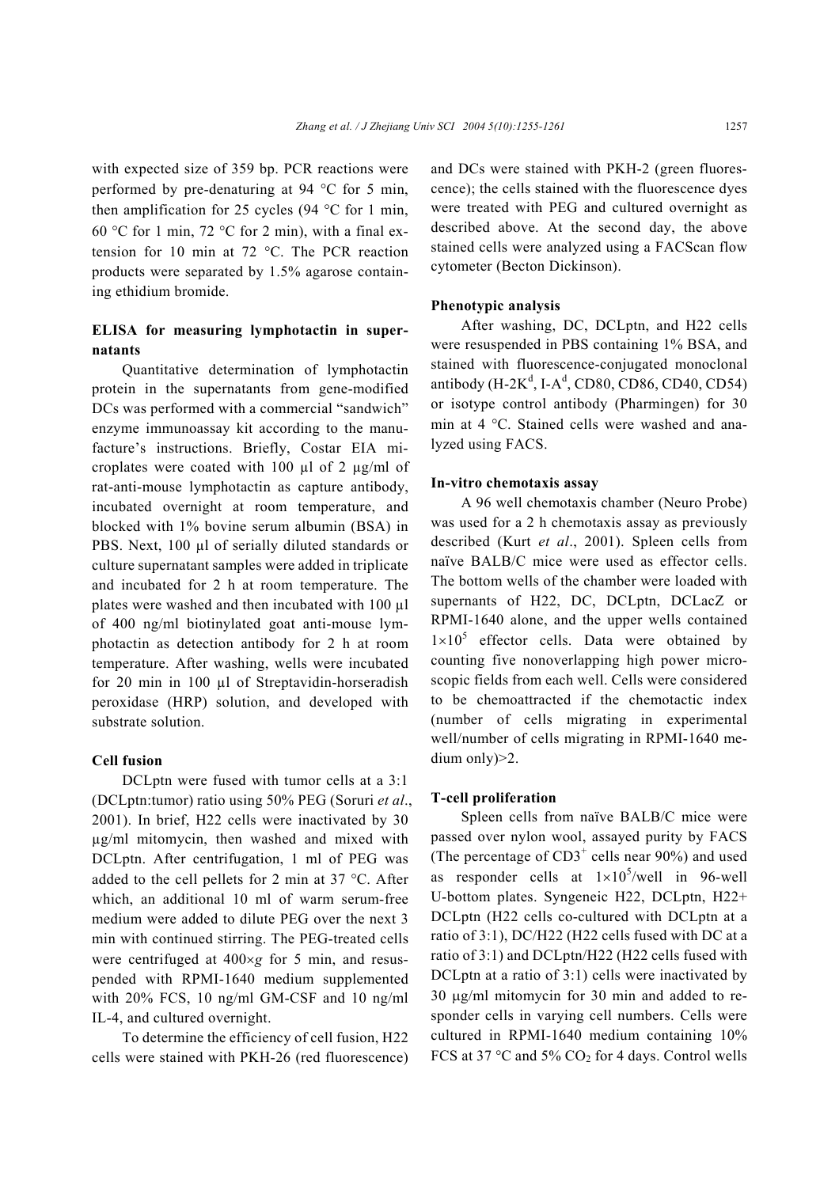with expected size of 359 bp. PCR reactions were performed by pre-denaturing at 94 °C for 5 min, then amplification for 25 cycles  $(94 \degree C)$  for 1 min. 60 °C for 1 min, 72 °C for 2 min), with a final extension for 10 min at 72 °C. The PCR reaction products were separated by 1.5% agarose containing ethidium bromide.

# **ELISA for measuring lymphotactin in supernatants**

Quantitative determination of lymphotactin protein in the supernatants from gene-modified DCs was performed with a commercial "sandwich" enzyme immunoassay kit according to the manufacture's instructions. Briefly, Costar EIA microplates were coated with 100  $\mu$ l of 2  $\mu$ g/ml of rat-anti-mouse lymphotactin as capture antibody, incubated overnight at room temperature, and blocked with 1% bovine serum albumin (BSA) in PBS. Next, 100 µl of serially diluted standards or culture supernatant samples were added in triplicate and incubated for 2 h at room temperature. The plates were washed and then incubated with 100 µl of 400 ng/ml biotinylated goat anti-mouse lymphotactin as detection antibody for 2 h at room temperature. After washing, wells were incubated for 20 min in 100 µl of Streptavidin-horseradish peroxidase (HRP) solution, and developed with substrate solution.

## **Cell fusion**

DCLptn were fused with tumor cells at a 3:1 (DCLptn:tumor) ratio using 50% PEG (Soruri *et al*., 2001). In brief, H22 cells were inactivated by 30 µg/ml mitomycin, then washed and mixed with DCLptn. After centrifugation, 1 ml of PEG was added to the cell pellets for 2 min at 37 °C. After which, an additional 10 ml of warm serum-free medium were added to dilute PEG over the next 3 min with continued stirring. The PEG-treated cells were centrifuged at 400×*g* for 5 min, and resuspended with RPMI-1640 medium supplemented with 20% FCS, 10 ng/ml GM-CSF and 10 ng/ml IL-4, and cultured overnight.

To determine the efficiency of cell fusion, H22 cells were stained with PKH-26 (red fluorescence) and DCs were stained with PKH-2 (green fluorescence); the cells stained with the fluorescence dyes were treated with PEG and cultured overnight as described above. At the second day, the above stained cells were analyzed using a FACScan flow cytometer (Becton Dickinson).

#### **Phenotypic analysis**

After washing, DC, DCLptn, and H22 cells were resuspended in PBS containing 1% BSA, and stained with fluorescence-conjugated monoclonal antibody (H-2 $K^d$ , I-A<sup>d</sup>, CD80, CD86, CD40, CD54) or isotype control antibody (Pharmingen) for 30 min at 4 °C. Stained cells were washed and analyzed using FACS.

#### **In-vitro chemotaxis assay**

A 96 well chemotaxis chamber (Neuro Probe) was used for a 2 h chemotaxis assay as previously described (Kurt *et al*., 2001). Spleen cells from naïve BALB/C mice were used as effector cells. The bottom wells of the chamber were loaded with supernants of H22, DC, DCLptn, DCLacZ or RPMI-1640 alone, and the upper wells contained  $1\times10^{5}$  effector cells. Data were obtained by counting five nonoverlapping high power microscopic fields from each well. Cells were considered to be chemoattracted if the chemotactic index (number of cells migrating in experimental well/number of cells migrating in RPMI-1640 medium only)>2.

#### **T-cell proliferation**

Spleen cells from naïve BALB/C mice were passed over nylon wool, assayed purity by FACS (The percentage of  $CD3^+$  cells near 90%) and used as responder cells at  $1 \times 10^5$ /well in 96-well U-bottom plates. Syngeneic H22, DCLptn, H22+ DCLptn (H22 cells co-cultured with DCLptn at a ratio of 3:1), DC/H22 (H22 cells fused with DC at a ratio of 3:1) and DCLptn/H22 (H22 cells fused with DCLptn at a ratio of 3:1) cells were inactivated by 30 µg/ml mitomycin for 30 min and added to responder cells in varying cell numbers. Cells were cultured in RPMI-1640 medium containing 10% FCS at 37  $\degree$ C and 5% CO<sub>2</sub> for 4 days. Control wells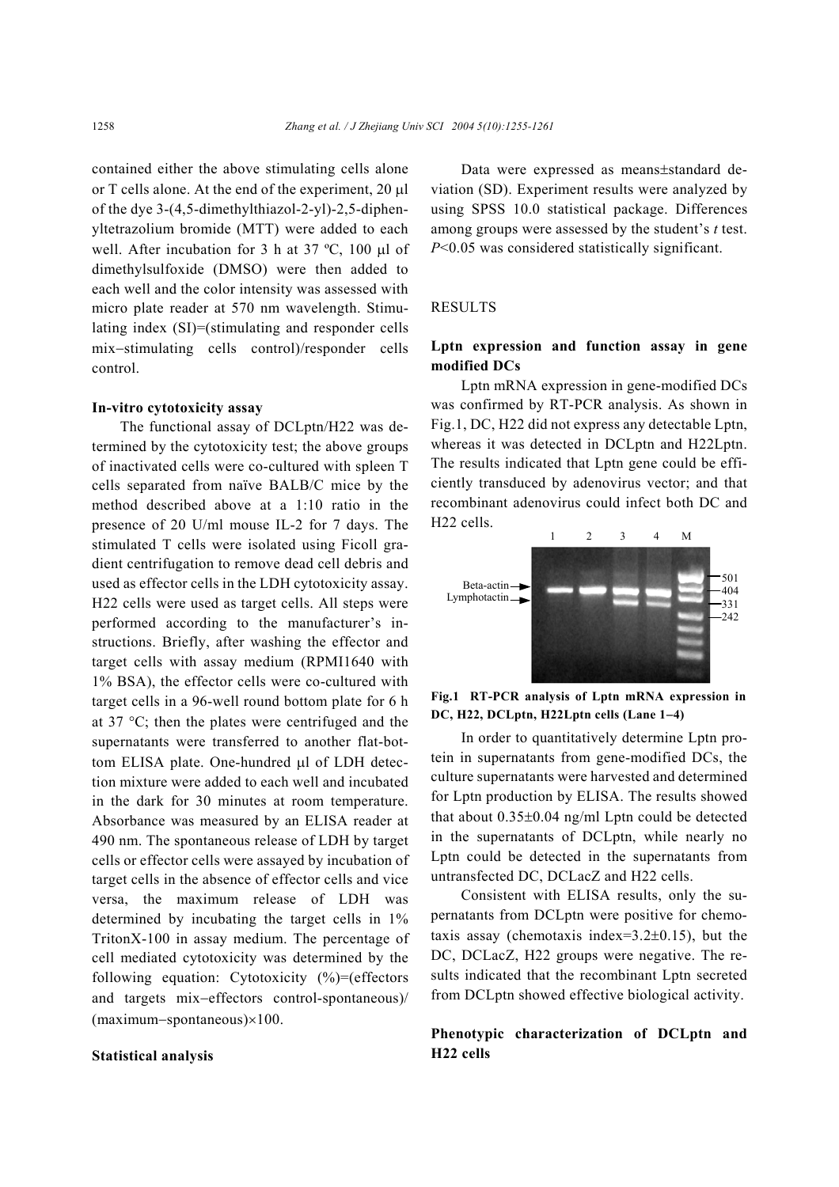contained either the above stimulating cells alone or T cells alone. At the end of the experiment, 20 µl of the dye 3-(4,5-dimethylthiazol-2-yl)-2,5-diphenyltetrazolium bromide (MTT) were added to each well. After incubation for 3 h at 37 °C, 100 µl of dimethylsulfoxide (DMSO) were then added to each well and the color intensity was assessed with micro plate reader at 570 nm wavelength. Stimulating index (SI)=(stimulating and responder cells mix−stimulating cells control)/responder cells control.

## **In-vitro cytotoxicity assay**

The functional assay of DCLptn/H22 was determined by the cytotoxicity test; the above groups of inactivated cells were co-cultured with spleen T cells separated from naïve BALB/C mice by the method described above at a 1:10 ratio in the presence of 20 U/ml mouse IL-2 for 7 days. The stimulated T cells were isolated using Ficoll gradient centrifugation to remove dead cell debris and used as effector cells in the LDH cytotoxicity assay. H22 cells were used as target cells. All steps were performed according to the manufacturer's instructions. Briefly, after washing the effector and target cells with assay medium (RPMI1640 with 1% BSA), the effector cells were co-cultured with target cells in a 96-well round bottom plate for 6 h at 37 °C; then the plates were centrifuged and the supernatants were transferred to another flat-bottom ELISA plate. One-hundred µl of LDH detection mixture were added to each well and incubated in the dark for 30 minutes at room temperature. Absorbance was measured by an ELISA reader at 490 nm. The spontaneous release of LDH by target cells or effector cells were assayed by incubation of target cells in the absence of effector cells and vice versa, the maximum release of LDH was determined by incubating the target cells in 1% TritonX-100 in assay medium. The percentage of cell mediated cytotoxicity was determined by the following equation: Cytotoxicity (%)=(effectors and targets mix−effectors control-spontaneous)/ (maximum−spontaneous)×100.

## **Statistical analysis**

Data were expressed as means±standard deviation (SD). Experiment results were analyzed by using SPSS 10.0 statistical package. Differences among groups were assessed by the student's *t* test. *P*<0.05 was considered statistically significant.

# RESULTS

# **Lptn expression and function assay in gene modified DCs**

Lptn mRNA expression in gene-modified DCs was confirmed by RT-PCR analysis. As shown in Fig.1, DC, H22 did not express any detectable Lptn, whereas it was detected in DCLptn and H22Lptn. The results indicated that Lptn gene could be efficiently transduced by adenovirus vector; and that recombinant adenovirus could infect both DC and H22 cells.



**Fig.1 RT-PCR analysis of Lptn mRNA expression in DC, H22, DCLptn, H22Lptn cells (Lane 1**−**4)** 

In order to quantitatively determine Lptn protein in supernatants from gene-modified DCs, the culture supernatants were harvested and determined for Lptn production by ELISA. The results showed that about 0.35±0.04 ng/ml Lptn could be detected in the supernatants of DCLptn, while nearly no Lptn could be detected in the supernatants from untransfected DC, DCLacZ and H22 cells.

Consistent with ELISA results, only the supernatants from DCLptn were positive for chemotaxis assay (chemotaxis index=3.2±0.15), but the DC, DCLacZ, H22 groups were negative. The results indicated that the recombinant Lptn secreted from DCLptn showed effective biological activity.

**Phenotypic characterization of DCLptn and H22 cells**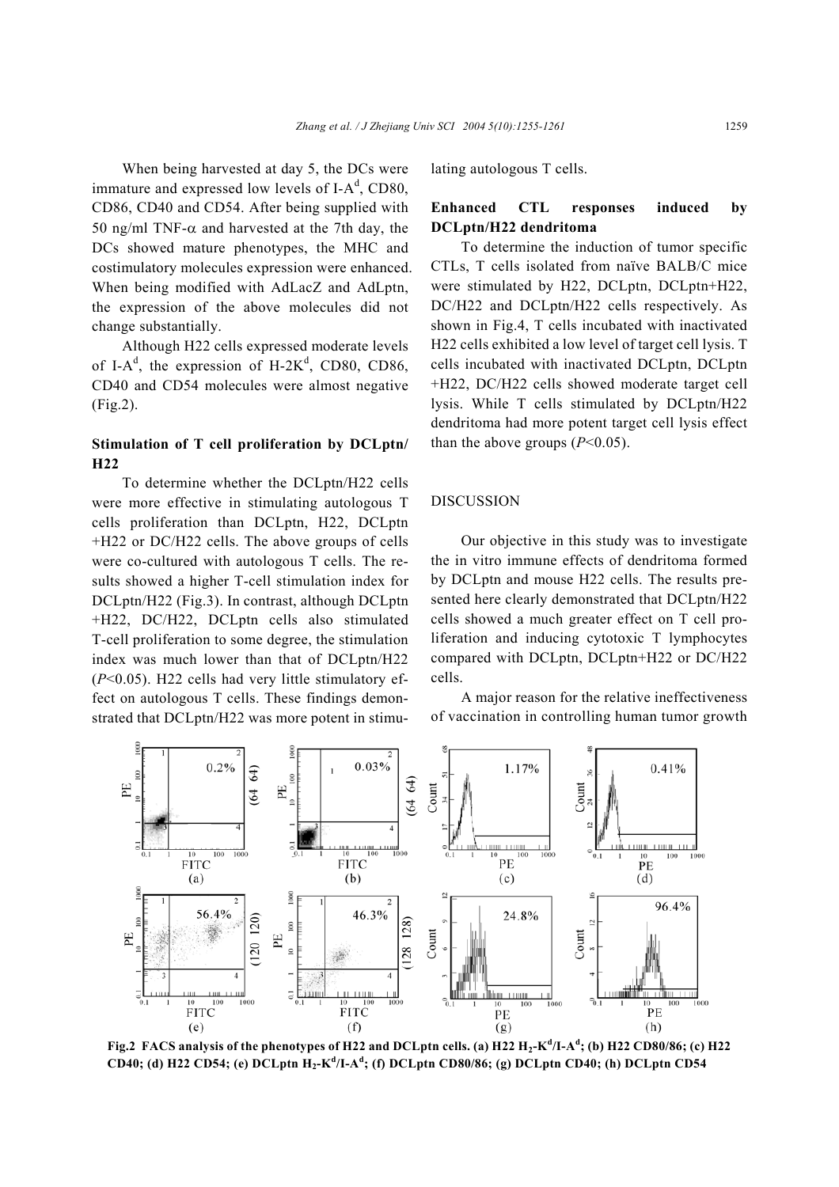When being harvested at day 5, the DCs were immature and expressed low levels of I- $A<sup>d</sup>$ , CD80, CD86, CD40 and CD54. After being supplied with 50 ng/ml TNF- $\alpha$  and harvested at the 7th day, the DCs showed mature phenotypes, the MHC and costimulatory molecules expression were enhanced. When being modified with AdLacZ and AdLptn, the expression of the above molecules did not change substantially.

Although H22 cells expressed moderate levels of I-A<sup>d</sup>, the expression of H-2K<sup>d</sup>, CD80, CD86, CD40 and CD54 molecules were almost negative (Fig.2).

# **Stimulation of T cell proliferation by DCLptn/ H22**

To determine whether the DCLptn/H22 cells were more effective in stimulating autologous T cells proliferation than DCLptn, H22, DCLptn +H22 or DC/H22 cells. The above groups of cells were co-cultured with autologous T cells. The results showed a higher T-cell stimulation index for DCLptn/H22 (Fig.3). In contrast, although DCLptn +H22, DC/H22, DCLptn cells also stimulated T-cell proliferation to some degree, the stimulation index was much lower than that of DCLptn/H22 (*P*<0.05). H22 cells had very little stimulatory effect on autologous T cells. These findings demonstrated that DCLptn/H22 was more potent in stimulating autologous T cells.

# **Enhanced CTL responses induced by DCLptn/H22 dendritoma**

To determine the induction of tumor specific CTLs, T cells isolated from naïve BALB/C mice were stimulated by H22, DCLptn, DCLptn+H22, DC/H22 and DCLptn/H22 cells respectively. As shown in Fig.4, T cells incubated with inactivated H22 cells exhibited a low level of target cell lysis. T cells incubated with inactivated DCLptn, DCLptn +H22, DC/H22 cells showed moderate target cell lysis. While T cells stimulated by DCLptn/H22 dendritoma had more potent target cell lysis effect than the above groups  $(P<0.05)$ .

### DISCUSSION

Our objective in this study was to investigate the in vitro immune effects of dendritoma formed by DCLptn and mouse H22 cells. The results presented here clearly demonstrated that DCLptn/H22 cells showed a much greater effect on T cell proliferation and inducing cytotoxic T lymphocytes compared with DCLptn, DCLptn+H22 or DC/H22 cells.

A major reason for the relative ineffectiveness of vaccination in controlling human tumor growth



**Fig.2 FACS analysis of the phenotypes of H22 and DCLptn cells. (a) H22 H2-K<sup>d</sup> /I-A<sup>d</sup> ; (b) H22 CD80/86; (c) H22 CD40; (d) H22 CD54; (e) DCLptn H2-K<sup>d</sup> /I-A<sup>d</sup> ; (f) DCLptn CD80/86; (g) DCLptn CD40; (h) DCLptn CD54**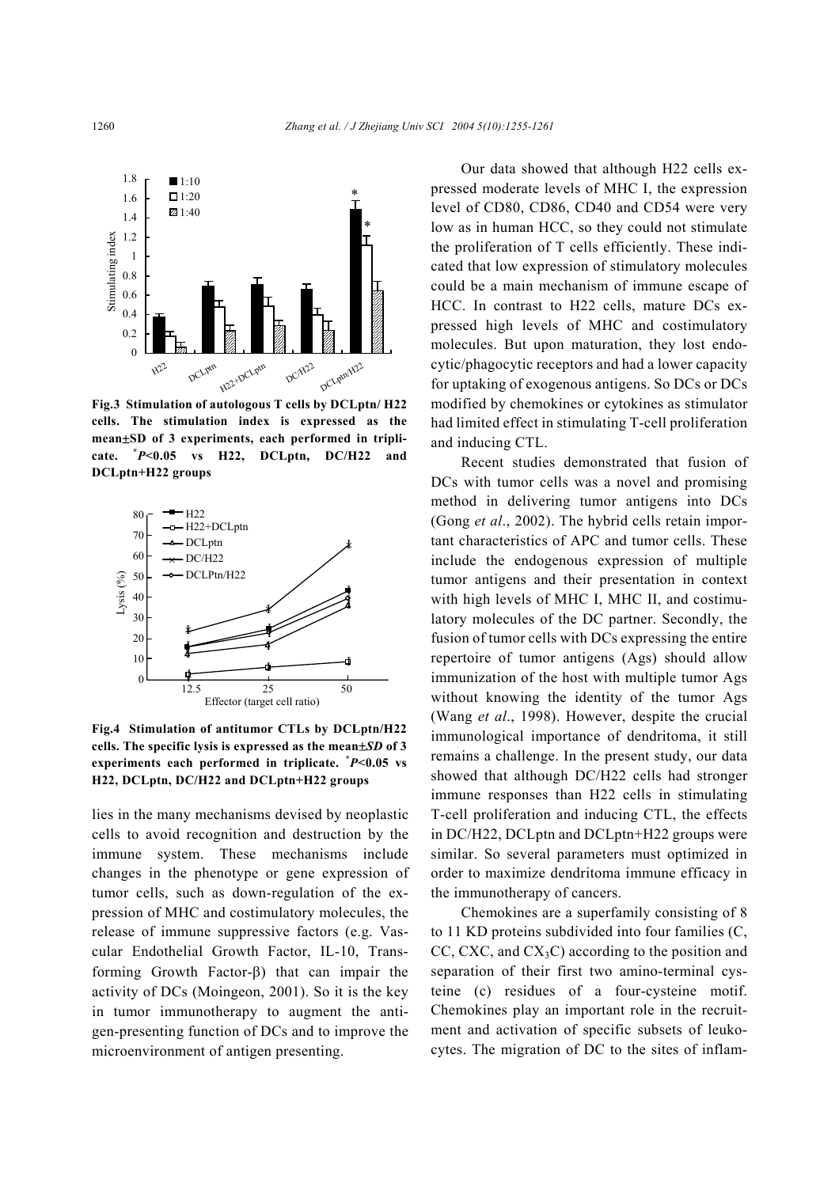

**Fig.3 Stimulation of autologous T cells by DCLptn/ H22 cells. The stimulation index is expressed as the mean**±**SD of 3 experiments, each performed in triplicate. \***  $P$ <sup>*P*</sup> $\leq$ 0.05 vs H22, DCLptn, DC/H22 and **DCLptn+H22 groups**



**Fig.4 Stimulation of antitumor CTLs by DCLptn/H22 cells. The specific lysis is expressed as the mean**±*SD* **of 3 experiments each performed in triplicate. \*** *P***<0.05 vs H22, DCLptn, DC/H22 and DCLptn+H22 groups** 

lies in the many mechanisms devised by neoplastic cells to avoid recognition and destruction by the immune system. These mechanisms include changes in the phenotype or gene expression of tumor cells, such as down-regulation of the expression of MHC and costimulatory molecules, the release of immune suppressive factors (e.g. Vascular Endothelial Growth Factor, IL-10, Transforming Growth Factor-β) that can impair the activity of DCs (Moingeon, 2001). So it is the key in tumor immunotherapy to augment the antigen-presenting function of DCs and to improve the microenvironment of antigen presenting.

Our data showed that although H22 cells expressed moderate levels of MHC I, the expression level of CD80, CD86, CD40 and CD54 were very low as in human HCC, so they could not stimulate the proliferation of T cells efficiently. These indicated that low expression of stimulatory molecules could be a main mechanism of immune escape of HCC. In contrast to H22 cells, mature DCs expressed high levels of MHC and costimulatory molecules. But upon maturation, they lost endocytic/phagocytic receptors and had a lower capacity for uptaking of exogenous antigens. So DCs or DCs modified by chemokines or cytokines as stimulator had limited effect in stimulating T-cell proliferation and inducing CTL.

Recent studies demonstrated that fusion of DCs with tumor cells was a novel and promising method in delivering tumor antigens into DCs (Gong *et al*., 2002). The hybrid cells retain important characteristics of APC and tumor cells. These include the endogenous expression of multiple tumor antigens and their presentation in context with high levels of MHC I, MHC II, and costimulatory molecules of the DC partner. Secondly, the fusion of tumor cells with DCs expressing the entire repertoire of tumor antigens (Ags) should allow immunization of the host with multiple tumor Ags without knowing the identity of the tumor Ags (Wang *et al*., 1998). However, despite the crucial immunological importance of dendritoma, it still remains a challenge. In the present study, our data showed that although DC/H22 cells had stronger immune responses than H22 cells in stimulating T-cell proliferation and inducing CTL, the effects in DC/H22, DCLptn and DCLptn+H22 groups were similar. So several parameters must optimized in order to maximize dendritoma immune efficacy in the immunotherapy of cancers.

Chemokines are a superfamily consisting of 8 to 11 KD proteins subdivided into four families (C, CC, CXC, and  $CX<sub>3</sub>C$ ) according to the position and separation of their first two amino-terminal cysteine (c) residues of a four-cysteine motif. Chemokines play an important role in the recruitment and activation of specific subsets of leukocytes. The migration of DC to the sites of inflam